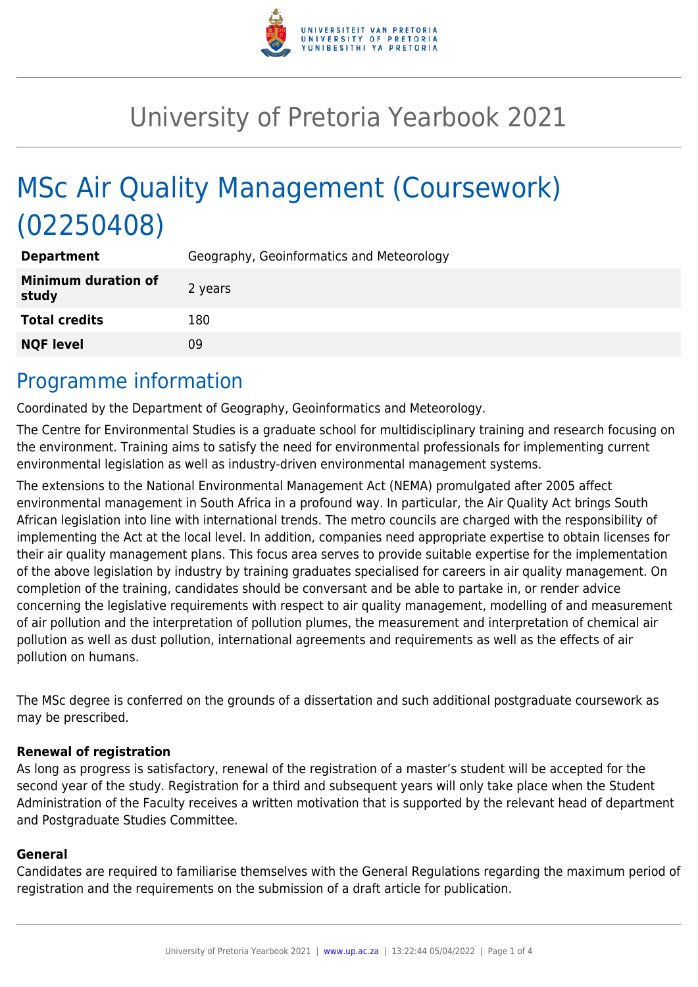

# University of Pretoria Yearbook 2021

# MSc Air Quality Management (Coursework) (02250408)

| <b>Department</b>                   | Geography, Geoinformatics and Meteorology |
|-------------------------------------|-------------------------------------------|
| <b>Minimum duration of</b><br>study | 2 years                                   |
| <b>Total credits</b>                | 180                                       |
| <b>NQF level</b>                    | 09                                        |

### Programme information

Coordinated by the Department of Geography, Geoinformatics and Meteorology.

The Centre for Environmental Studies is a graduate school for multidisciplinary training and research focusing on the environment. Training aims to satisfy the need for environmental professionals for implementing current environmental legislation as well as industry-driven environmental management systems.

The extensions to the National Environmental Management Act (NEMA) promulgated after 2005 affect environmental management in South Africa in a profound way. In particular, the Air Quality Act brings South African legislation into line with international trends. The metro councils are charged with the responsibility of implementing the Act at the local level. In addition, companies need appropriate expertise to obtain licenses for their air quality management plans. This focus area serves to provide suitable expertise for the implementation of the above legislation by industry by training graduates specialised for careers in air quality management. On completion of the training, candidates should be conversant and be able to partake in, or render advice concerning the legislative requirements with respect to air quality management, modelling of and measurement of air pollution and the interpretation of pollution plumes, the measurement and interpretation of chemical air pollution as well as dust pollution, international agreements and requirements as well as the effects of air pollution on humans.

The MSc degree is conferred on the grounds of a dissertation and such additional postgraduate coursework as may be prescribed.

#### **Renewal of registration**

As long as progress is satisfactory, renewal of the registration of a master's student will be accepted for the second year of the study. Registration for a third and subsequent years will only take place when the Student Administration of the Faculty receives a written motivation that is supported by the relevant head of department and Postgraduate Studies Committee.

#### **General**

Candidates are required to familiarise themselves with the General Regulations regarding the maximum period of registration and the requirements on the submission of a draft article for publication.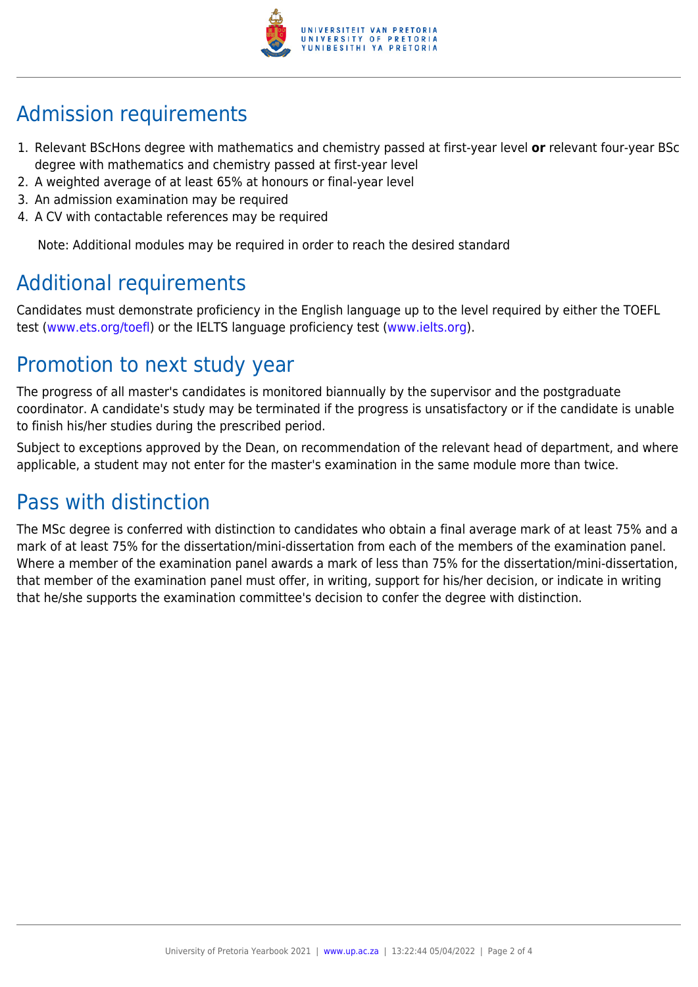

## Admission requirements

- 1. Relevant BScHons degree with mathematics and chemistry passed at first-year level **or** relevant four-year BSc degree with mathematics and chemistry passed at first-year level
- 2. A weighted average of at least 65% at honours or final-year level
- 3. An admission examination may be required
- 4. A CV with contactable references may be required

Note: Additional modules may be required in order to reach the desired standard

## Additional requirements

Candidates must demonstrate proficiency in the English language up to the level required by either the TOEFL test [\(www.ets.org/toefl\)](http://www.ets.org/toefl) or the IELTS language proficiency test ([www.ielts.org](http://www.ielts.org)).

### Promotion to next study year

The progress of all master's candidates is monitored biannually by the supervisor and the postgraduate coordinator. A candidate's study may be terminated if the progress is unsatisfactory or if the candidate is unable to finish his/her studies during the prescribed period.

Subject to exceptions approved by the Dean, on recommendation of the relevant head of department, and where applicable, a student may not enter for the master's examination in the same module more than twice.

### Pass with distinction

The MSc degree is conferred with distinction to candidates who obtain a final average mark of at least 75% and a mark of at least 75% for the dissertation/mini-dissertation from each of the members of the examination panel. Where a member of the examination panel awards a mark of less than 75% for the dissertation/mini-dissertation, that member of the examination panel must offer, in writing, support for his/her decision, or indicate in writing that he/she supports the examination committee's decision to confer the degree with distinction.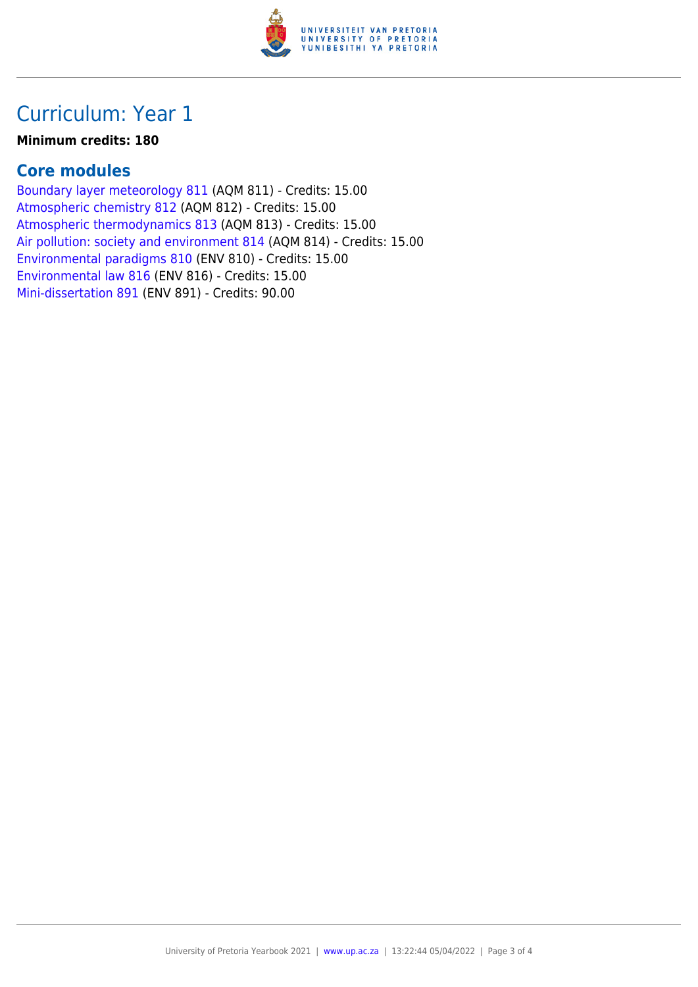

### Curriculum: Year 1

#### **Minimum credits: 180**

#### **Core modules**

[Boundary layer meteorology 811](https://www.up.ac.za/yearbooks/2021/modules/view/AQM 811) (AQM 811) - Credits: 15.00 [Atmospheric chemistry 812](https://www.up.ac.za/yearbooks/2021/modules/view/AQM 812) (AQM 812) - Credits: 15.00 [Atmospheric thermodynamics 813](https://www.up.ac.za/yearbooks/2021/modules/view/AQM 813) (AQM 813) - Credits: 15.00 [Air pollution: society and environment 814](https://www.up.ac.za/yearbooks/2021/modules/view/AQM 814) (AQM 814) - Credits: 15.00 [Environmental paradigms 810](https://www.up.ac.za/yearbooks/2021/modules/view/ENV 810) (ENV 810) - Credits: 15.00 [Environmental law 816](https://www.up.ac.za/yearbooks/2021/modules/view/ENV 816) (ENV 816) - Credits: 15.00 [Mini-dissertation 891](https://www.up.ac.za/yearbooks/2021/modules/view/ENV 891) (ENV 891) - Credits: 90.00